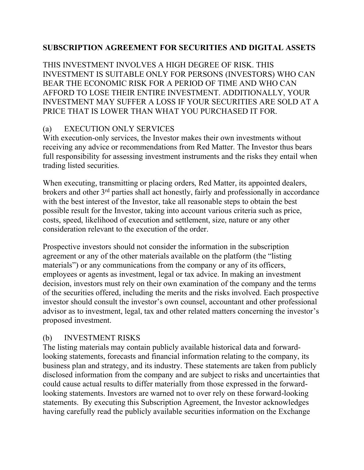### **SUBSCRIPTION AGREEMENT FOR SECURITIES AND DIGITAL ASSETS**

THIS INVESTMENT INVOLVES A HIGH DEGREE OF RISK. THIS INVESTMENT IS SUITABLE ONLY FOR PERSONS (INVESTORS) WHO CAN BEAR THE ECONOMIC RISK FOR A PERIOD OF TIME AND WHO CAN AFFORD TO LOSE THEIR ENTIRE INVESTMENT. ADDITIONALLY, YOUR INVESTMENT MAY SUFFER A LOSS IF YOUR SECURITIES ARE SOLD AT A PRICE THAT IS LOWER THAN WHAT YOU PURCHASED IT FOR.

### (a) EXECUTION ONLY SERVICES

With execution-only services, the Investor makes their own investments without receiving any advice or recommendations from Red Matter. The Investor thus bears full responsibility for assessing investment instruments and the risks they entail when trading listed securities.

When executing, transmitting or placing orders, Red Matter, its appointed dealers, brokers and other 3<sup>rd</sup> parties shall act honestly, fairly and professionally in accordance with the best interest of the Investor, take all reasonable steps to obtain the best possible result for the Investor, taking into account various criteria such as price, costs, speed, likelihood of execution and settlement, size, nature or any other consideration relevant to the execution of the order.

Prospective investors should not consider the information in the subscription agreement or any of the other materials available on the platform (the "listing materials") or any communications from the company or any of its officers, employees or agents as investment, legal or tax advice. In making an investment decision, investors must rely on their own examination of the company and the terms of the securities offered, including the merits and the risks involved. Each prospective investor should consult the investor's own counsel, accountant and other professional advisor as to investment, legal, tax and other related matters concerning the investor's proposed investment.

### (b) INVESTMENT RISKS

The listing materials may contain publicly available historical data and forwardlooking statements, forecasts and financial information relating to the company, its business plan and strategy, and its industry. These statements are taken from publicly disclosed information from the company and are subject to risks and uncertainties that could cause actual results to differ materially from those expressed in the forwardlooking statements. Investors are warned not to over rely on these forward-looking statements. By executing this Subscription Agreement, the Investor acknowledges having carefully read the publicly available securities information on the Exchange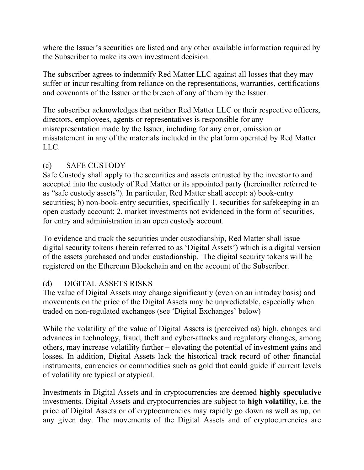where the Issuer's securities are listed and any other available information required by the Subscriber to make its own investment decision.

The subscriber agrees to indemnify Red Matter LLC against all losses that they may suffer or incur resulting from reliance on the representations, warranties, certifications and covenants of the Issuer or the breach of any of them by the Issuer.

The subscriber acknowledges that neither Red Matter LLC or their respective officers, directors, employees, agents or representatives is responsible for any misrepresentation made by the Issuer, including for any error, omission or misstatement in any of the materials included in the platform operated by Red Matter LLC.

# (c) SAFE CUSTODY

Safe Custody shall apply to the securities and assets entrusted by the investor to and accepted into the custody of Red Matter or its appointed party (hereinafter referred to as "safe custody assets"). In particular, Red Matter shall accept: a) book-entry securities; b) non-book-entry securities, specifically 1. securities for safekeeping in an open custody account; 2. market investments not evidenced in the form of securities, for entry and administration in an open custody account.

To evidence and track the securities under custodianship, Red Matter shall issue digital security tokens (herein referred to as 'Digital Assets') which is a digital version of the assets purchased and under custodianship. The digital security tokens will be registered on the Ethereum Blockchain and on the account of the Subscriber.

# (d) DIGITAL ASSETS RISKS

The value of Digital Assets may change significantly (even on an intraday basis) and movements on the price of the Digital Assets may be unpredictable, especially when traded on non-regulated exchanges (see 'Digital Exchanges' below)

While the volatility of the value of Digital Assets is (perceived as) high, changes and advances in technology, fraud, theft and cyber-attacks and regulatory changes, among others, may increase volatility further – elevating the potential of investment gains and losses. In addition, Digital Assets lack the historical track record of other financial instruments, currencies or commodities such as gold that could guide if current levels of volatility are typical or atypical.

Investments in Digital Assets and in cryptocurrencies are deemed **highly speculative**  investments. Digital Assets and cryptocurrencies are subject to **high volatility**, i.e. the price of Digital Assets or of cryptocurrencies may rapidly go down as well as up, on any given day. The movements of the Digital Assets and of cryptocurrencies are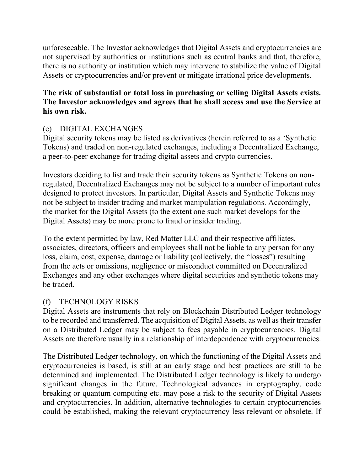unforeseeable. The Investor acknowledges that Digital Assets and cryptocurrencies are not supervised by authorities or institutions such as central banks and that, therefore, there is no authority or institution which may intervene to stabilize the value of Digital Assets or cryptocurrencies and/or prevent or mitigate irrational price developments.

## **The risk of substantial or total loss in purchasing or selling Digital Assets exists. The Investor acknowledges and agrees that he shall access and use the Service at his own risk.**

## (e) DIGITAL EXCHANGES

Digital security tokens may be listed as derivatives (herein referred to as a 'Synthetic Tokens) and traded on non-regulated exchanges, including a Decentralized Exchange, a peer-to-peer exchange for trading digital assets and crypto currencies.

Investors deciding to list and trade their security tokens as Synthetic Tokens on nonregulated, Decentralized Exchanges may not be subject to a number of important rules designed to protect investors. In particular, Digital Assets and Synthetic Tokens may not be subject to insider trading and market manipulation regulations. Accordingly, the market for the Digital Assets (to the extent one such market develops for the Digital Assets) may be more prone to fraud or insider trading.

To the extent permitted by law, Red Matter LLC and their respective affiliates, associates, directors, officers and employees shall not be liable to any person for any loss, claim, cost, expense, damage or liability (collectively, the "losses") resulting from the acts or omissions, negligence or misconduct committed on Decentralized Exchanges and any other exchanges where digital securities and synthetic tokens may be traded.

### (f) TECHNOLOGY RISKS

Digital Assets are instruments that rely on Blockchain Distributed Ledger technology to be recorded and transferred. The acquisition of Digital Assets, as well as their transfer on a Distributed Ledger may be subject to fees payable in cryptocurrencies. Digital Assets are therefore usually in a relationship of interdependence with cryptocurrencies.

The Distributed Ledger technology, on which the functioning of the Digital Assets and cryptocurrencies is based, is still at an early stage and best practices are still to be determined and implemented. The Distributed Ledger technology is likely to undergo significant changes in the future. Technological advances in cryptography, code breaking or quantum computing etc. may pose a risk to the security of Digital Assets and cryptocurrencies. In addition, alternative technologies to certain cryptocurrencies could be established, making the relevant cryptocurrency less relevant or obsolete. If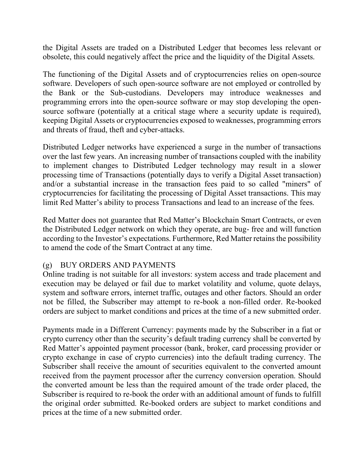the Digital Assets are traded on a Distributed Ledger that becomes less relevant or obsolete, this could negatively affect the price and the liquidity of the Digital Assets.

The functioning of the Digital Assets and of cryptocurrencies relies on open-source software. Developers of such open-source software are not employed or controlled by the Bank or the Sub-custodians. Developers may introduce weaknesses and programming errors into the open-source software or may stop developing the opensource software (potentially at a critical stage where a security update is required), keeping Digital Assets or cryptocurrencies exposed to weaknesses, programming errors and threats of fraud, theft and cyber-attacks.

Distributed Ledger networks have experienced a surge in the number of transactions over the last few years. An increasing number of transactions coupled with the inability to implement changes to Distributed Ledger technology may result in a slower processing time of Transactions (potentially days to verify a Digital Asset transaction) and/or a substantial increase in the transaction fees paid to so called "miners" of cryptocurrencies for facilitating the processing of Digital Asset transactions. This may limit Red Matter's ability to process Transactions and lead to an increase of the fees.

Red Matter does not guarantee that Red Matter's Blockchain Smart Contracts, or even the Distributed Ledger network on which they operate, are bug- free and will function according to the Investor's expectations. Furthermore, Red Matter retains the possibility to amend the code of the Smart Contract at any time.

### (g) BUY ORDERS AND PAYMENTS

Online trading is not suitable for all investors: system access and trade placement and execution may be delayed or fail due to market volatility and volume, quote delays, system and software errors, internet traffic, outages and other factors. Should an order not be filled, the Subscriber may attempt to re-book a non-filled order. Re-booked orders are subject to market conditions and prices at the time of a new submitted order.

Payments made in a Different Currency: payments made by the Subscriber in a fiat or crypto currency other than the security's default trading currency shall be converted by Red Matter's appointed payment processor (bank, broker, card processing provider or crypto exchange in case of crypto currencies) into the default trading currency. The Subscriber shall receive the amount of securities equivalent to the converted amount received from the payment processor after the currency conversion operation. Should the converted amount be less than the required amount of the trade order placed, the Subscriber is required to re-book the order with an additional amount of funds to fulfill the original order submitted. Re-booked orders are subject to market conditions and prices at the time of a new submitted order.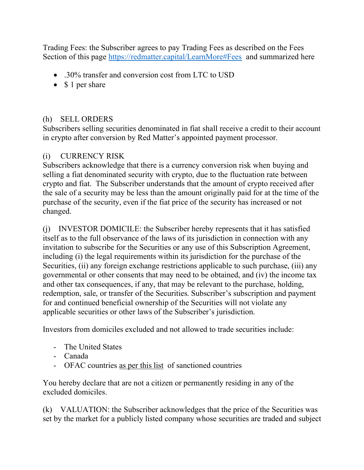Trading Fees: the Subscriber agrees to pay Trading Fees as described on the Fees Section of this page<https://redmatter.capital/LearnMore#Fees> and summarized here

- .30% transfer and conversion cost from LTC to USD
- \$ 1 per share

### (h) SELL ORDERS

Subscribers selling securities denominated in fiat shall receive a credit to their account in crypto after conversion by Red Matter's appointed payment processor.

### (i) CURRENCY RISK

Subscribers acknowledge that there is a currency conversion risk when buying and selling a fiat denominated security with crypto, due to the fluctuation rate between crypto and fiat. The Subscriber understands that the amount of crypto received after the sale of a security may be less than the amount originally paid for at the time of the purchase of the security, even if the fiat price of the security has increased or not changed.

(j) INVESTOR DOMICILE: the Subscriber hereby represents that it has satisfied itself as to the full observance of the laws of its jurisdiction in connection with any invitation to subscribe for the Securities or any use of this Subscription Agreement, including (i) the legal requirements within its jurisdiction for the purchase of the Securities, (ii) any foreign exchange restrictions applicable to such purchase, (iii) any governmental or other consents that may need to be obtained, and (iv) the income tax and other tax consequences, if any, that may be relevant to the purchase, holding, redemption, sale, or transfer of the Securities. Subscriber's subscription and payment for and continued beneficial ownership of the Securities will not violate any applicable securities or other laws of the Subscriber's jurisdiction.

Investors from domiciles excluded and not allowed to trade securities include:

- The United States
- Canada
- OFAC countries [as per this list](https://www.wm.edu/offices/techtransfer/ExportControls/Regulations/OFAC/index.php#:~:text=Currently%2C%20sanctioned%20countries%20include%20the,Sudan%2C%20Syria%2C%20and%20Zimbabwe.) of sanctioned countries

You hereby declare that are not a citizen or permanently residing in any of the excluded domiciles.

(k) VALUATION: the Subscriber acknowledges that the price of the Securities was set by the market for a publicly listed company whose securities are traded and subject